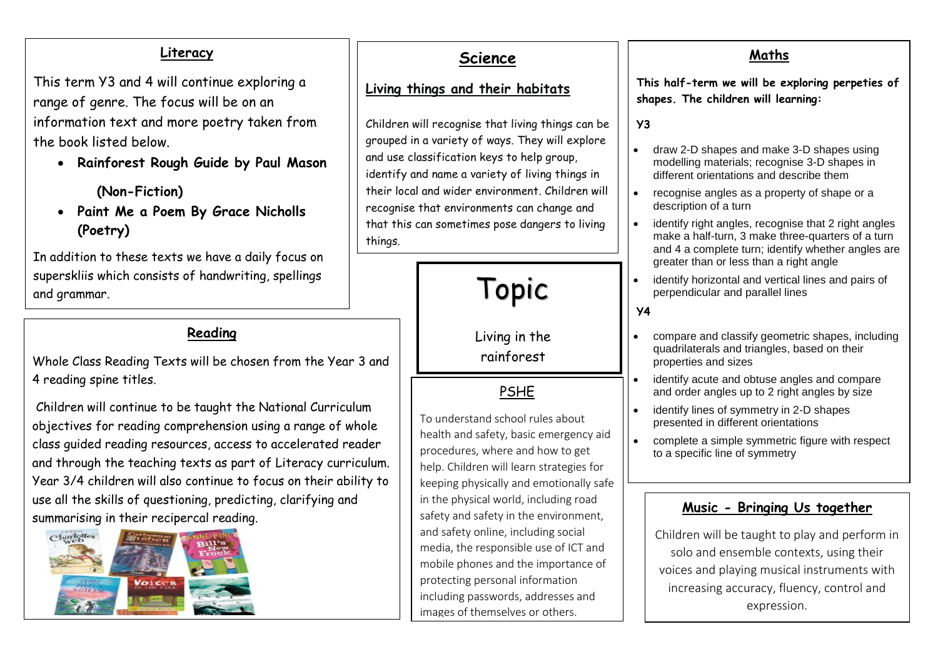## **Literacy**

This term Y3 and 4 will continue exploring a range of genre. The focus will be on an information text and more poetry taken from the book listed below.

• **Rainforest Rough Guide by Paul Mason**

 **(Non-Fiction)**

• **Paint Me a Poem By Grace Nicholls (Poetry)**

In addition to these texts we have a daily focus on superskliis which consists of handwriting, spellings and grammar.

## **Reading**

Whole Class Reading Texts will be chosen from the Year 3 and 4 reading spine titles.

Children will continue to be taught the National Curriculum objectives for reading comprehension using a range of whole class guided reading resources, access to accelerated reader and through the teaching texts as part of Literacy curriculum. Year 3/4 children will also continue to focus on their ability to use all the skills of questioning, predicting, clarifying and summarising in their recipercal reading.



# **Science**

#### **Living things and their habitats**

Children will recognise that living things can be grouped in a variety of ways. They will explore and use classification keys to help group, identify and name a variety of living things in their local and wider environment. Children will recognise that environments can change and that this can sometimes pose dangers to living things.



Living in the rainforest

**PSHE** 

To understand school rules about health and safety, basic emergency aid procedures, where and how to get help. Children will learn strategies for keeping physically and emotionally safe in the physical world, including road safety and safety in the environment, and safety online, including social media, the responsible use of ICT and mobile phones and the importance of protecting personal information including passwords, addresses and images of themselves or others.

## **Maths**

**This half-term we will be exploring perpeties of shapes. The children will learning:**

**Y3**

- draw 2-D shapes and make 3-D shapes using modelling materials; recognise 3-D shapes in different orientations and describe them
- recognise angles as a property of shape or a description of a turn
- identify right angles, recognise that 2 right angles make a half-turn, 3 make three-quarters of a turn and 4 a complete turn; identify whether angles are greater than or less than a right angle
- identify horizontal and vertical lines and pairs of perpendicular and parallel lines

**Y4**

- compare and classify geometric shapes, including quadrilaterals and triangles, based on their properties and sizes
- identify acute and obtuse angles and compare and order angles up to 2 right angles by size
- identify lines of symmetry in 2-D shapes presented in different orientations
- complete a simple symmetric figure with respect to a specific line of symmetry

### **Music - Bringing Us together**

Children will be taught to play and perform in solo and ensemble contexts, using their voices and playing musical instruments with increasing accuracy, fluency, control and expression.